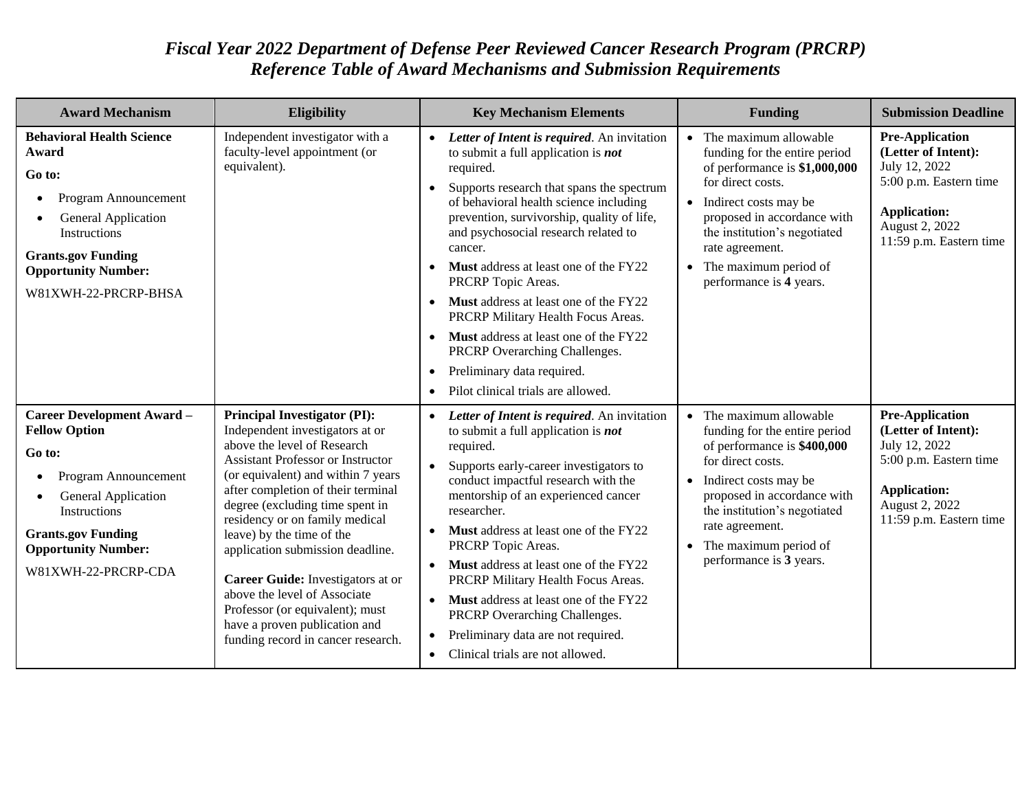## *Fiscal Year 2022 Department of Defense Peer Reviewed Cancer Research Program (PRCRP) Reference Table of Award Mechanisms and Submission Requirements*

| <b>Award Mechanism</b>                                                                                                                                                                                                                   | Eligibility                                                                                                                                                                                                                                                                                                                                                                                                                                                                                                                                        | <b>Key Mechanism Elements</b>                                                                                                                                                                                                                                                                                                                                                                                                                                                                                                                                                                                                   | <b>Funding</b>                                                                                                                                                                                                                                                                                  | <b>Submission Deadline</b>                                                                                                                                   |
|------------------------------------------------------------------------------------------------------------------------------------------------------------------------------------------------------------------------------------------|----------------------------------------------------------------------------------------------------------------------------------------------------------------------------------------------------------------------------------------------------------------------------------------------------------------------------------------------------------------------------------------------------------------------------------------------------------------------------------------------------------------------------------------------------|---------------------------------------------------------------------------------------------------------------------------------------------------------------------------------------------------------------------------------------------------------------------------------------------------------------------------------------------------------------------------------------------------------------------------------------------------------------------------------------------------------------------------------------------------------------------------------------------------------------------------------|-------------------------------------------------------------------------------------------------------------------------------------------------------------------------------------------------------------------------------------------------------------------------------------------------|--------------------------------------------------------------------------------------------------------------------------------------------------------------|
| <b>Behavioral Health Science</b><br>Award<br>Go to:<br>Program Announcement<br>$\bullet$<br><b>General Application</b><br><b>Instructions</b><br><b>Grants.gov Funding</b><br><b>Opportunity Number:</b><br>W81XWH-22-PRCRP-BHSA         | Independent investigator with a<br>faculty-level appointment (or<br>equivalent).                                                                                                                                                                                                                                                                                                                                                                                                                                                                   | • Letter of Intent is required. An invitation<br>to submit a full application is <b>not</b><br>required.<br>Supports research that spans the spectrum<br>of behavioral health science including<br>prevention, survivorship, quality of life,<br>and psychosocial research related to<br>cancer.<br><b>Must</b> address at least one of the FY22<br>PRCRP Topic Areas.<br>• Must address at least one of the FY22<br>PRCRP Military Health Focus Areas.<br>Must address at least one of the FY22<br>PRCRP Overarching Challenges.<br>Preliminary data required.<br>$\bullet$<br>Pilot clinical trials are allowed.<br>$\bullet$ | $\bullet$ The maximum allowable<br>funding for the entire period<br>of performance is \$1,000,000<br>for direct costs.<br>• Indirect costs may be<br>proposed in accordance with<br>the institution's negotiated<br>rate agreement.<br>• The maximum period of<br>performance is 4 years.       | <b>Pre-Application</b><br>(Letter of Intent):<br>July 12, 2022<br>5:00 p.m. Eastern time<br><b>Application:</b><br>August 2, 2022<br>11:59 p.m. Eastern time |
| <b>Career Development Award -</b><br><b>Fellow Option</b><br>Go to:<br>Program Announcement<br>$\bullet$<br><b>General Application</b><br>Instructions<br><b>Grants.gov Funding</b><br><b>Opportunity Number:</b><br>W81XWH-22-PRCRP-CDA | <b>Principal Investigator (PI):</b><br>Independent investigators at or<br>above the level of Research<br><b>Assistant Professor or Instructor</b><br>(or equivalent) and within 7 years<br>after completion of their terminal<br>degree (excluding time spent in<br>residency or on family medical<br>leave) by the time of the<br>application submission deadline.<br>Career Guide: Investigators at or<br>above the level of Associate<br>Professor (or equivalent); must<br>have a proven publication and<br>funding record in cancer research. | • Letter of Intent is required. An invitation<br>to submit a full application is <b>not</b><br>required.<br>• Supports early-career investigators to<br>conduct impactful research with the<br>mentorship of an experienced cancer<br>researcher.<br>• Must address at least one of the FY22<br>PRCRP Topic Areas.<br>• Must address at least one of the FY22<br>PRCRP Military Health Focus Areas.<br>• Must address at least one of the FY22<br>PRCRP Overarching Challenges.<br>Preliminary data are not required.<br>• Clinical trials are not allowed.                                                                     | $\bullet$ The maximum allowable<br>funding for the entire period<br>of performance is \$400,000<br>for direct costs.<br>• Indirect costs may be<br>proposed in accordance with<br>the institution's negotiated<br>rate agreement.<br>$\bullet$ The maximum period of<br>performance is 3 years. | <b>Pre-Application</b><br>(Letter of Intent):<br>July 12, 2022<br>5:00 p.m. Eastern time<br><b>Application:</b><br>August 2, 2022<br>11:59 p.m. Eastern time |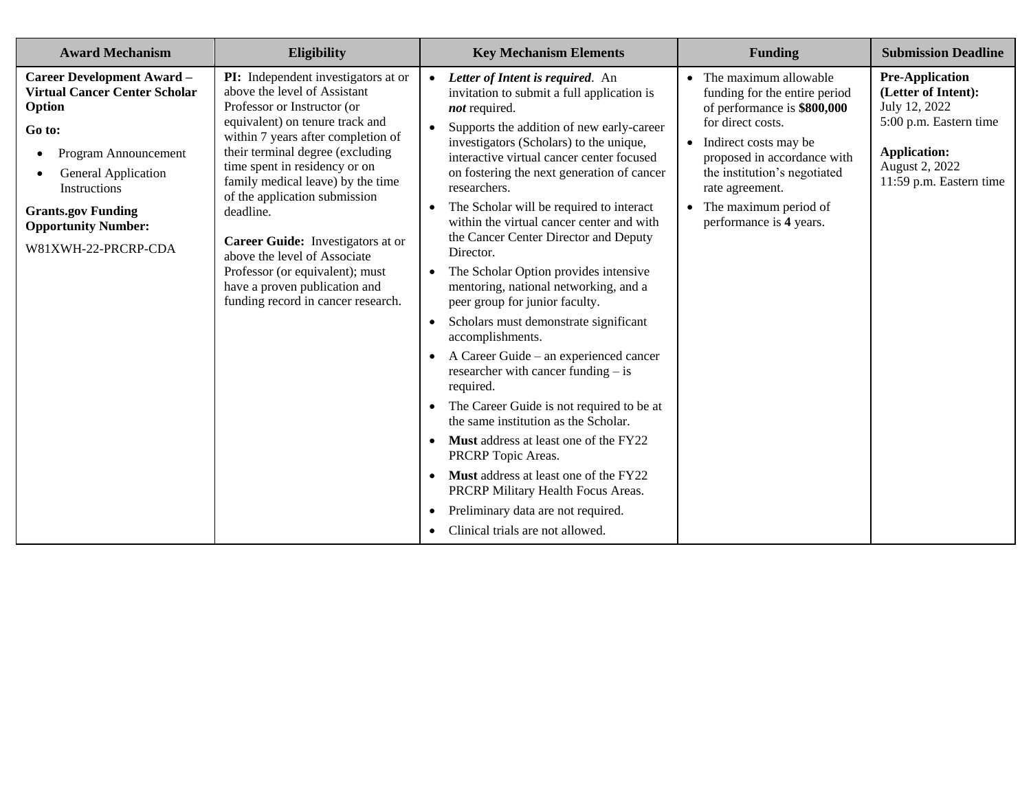| <b>Award Mechanism</b>                                                                                                                                                                                                                                                    | Eligibility                                                                                                                                                                                                                                                                                                                                                                                                                                                                                                        | <b>Key Mechanism Elements</b>                                                                                                                                                                                                                                                                                                                                                                                                                                                                                                                                                                                                                                                                                                                                                                                                                                                                                                                                                                                                                                                                                                                            | <b>Funding</b>                                                                                                                                                                                                                                                                  | <b>Submission Deadline</b>                                                                                                                                   |
|---------------------------------------------------------------------------------------------------------------------------------------------------------------------------------------------------------------------------------------------------------------------------|--------------------------------------------------------------------------------------------------------------------------------------------------------------------------------------------------------------------------------------------------------------------------------------------------------------------------------------------------------------------------------------------------------------------------------------------------------------------------------------------------------------------|----------------------------------------------------------------------------------------------------------------------------------------------------------------------------------------------------------------------------------------------------------------------------------------------------------------------------------------------------------------------------------------------------------------------------------------------------------------------------------------------------------------------------------------------------------------------------------------------------------------------------------------------------------------------------------------------------------------------------------------------------------------------------------------------------------------------------------------------------------------------------------------------------------------------------------------------------------------------------------------------------------------------------------------------------------------------------------------------------------------------------------------------------------|---------------------------------------------------------------------------------------------------------------------------------------------------------------------------------------------------------------------------------------------------------------------------------|--------------------------------------------------------------------------------------------------------------------------------------------------------------|
| <b>Career Development Award -</b><br><b>Virtual Cancer Center Scholar</b><br>Option<br>Go to:<br>Program Announcement<br>$\bullet$<br><b>General Application</b><br><b>Instructions</b><br><b>Grants.gov Funding</b><br><b>Opportunity Number:</b><br>W81XWH-22-PRCRP-CDA | PI: Independent investigators at or<br>above the level of Assistant<br>Professor or Instructor (or<br>equivalent) on tenure track and<br>within 7 years after completion of<br>their terminal degree (excluding<br>time spent in residency or on<br>family medical leave) by the time<br>of the application submission<br>deadline.<br>Career Guide: Investigators at or<br>above the level of Associate<br>Professor (or equivalent); must<br>have a proven publication and<br>funding record in cancer research. | Letter of Intent is required. An<br>$\bullet$<br>invitation to submit a full application is<br>not required.<br>Supports the addition of new early-career<br>$\bullet$<br>investigators (Scholars) to the unique,<br>interactive virtual cancer center focused<br>on fostering the next generation of cancer<br>researchers.<br>The Scholar will be required to interact<br>$\bullet$<br>within the virtual cancer center and with<br>the Cancer Center Director and Deputy<br>Director.<br>The Scholar Option provides intensive<br>$\bullet$<br>mentoring, national networking, and a<br>peer group for junior faculty.<br>Scholars must demonstrate significant<br>$\bullet$<br>accomplishments.<br>A Career Guide – an experienced cancer<br>researcher with cancer funding $-$ is<br>required.<br>The Career Guide is not required to be at<br>$\bullet$<br>the same institution as the Scholar.<br><b>Must</b> address at least one of the FY22<br>PRCRP Topic Areas.<br><b>Must</b> address at least one of the FY22<br>PRCRP Military Health Focus Areas.<br>Preliminary data are not required.<br>$\bullet$<br>Clinical trials are not allowed. | • The maximum allowable<br>funding for the entire period<br>of performance is \$800,000<br>for direct costs.<br>• Indirect costs may be<br>proposed in accordance with<br>the institution's negotiated<br>rate agreement.<br>• The maximum period of<br>performance is 4 years. | <b>Pre-Application</b><br>(Letter of Intent):<br>July 12, 2022<br>5:00 p.m. Eastern time<br><b>Application:</b><br>August 2, 2022<br>11:59 p.m. Eastern time |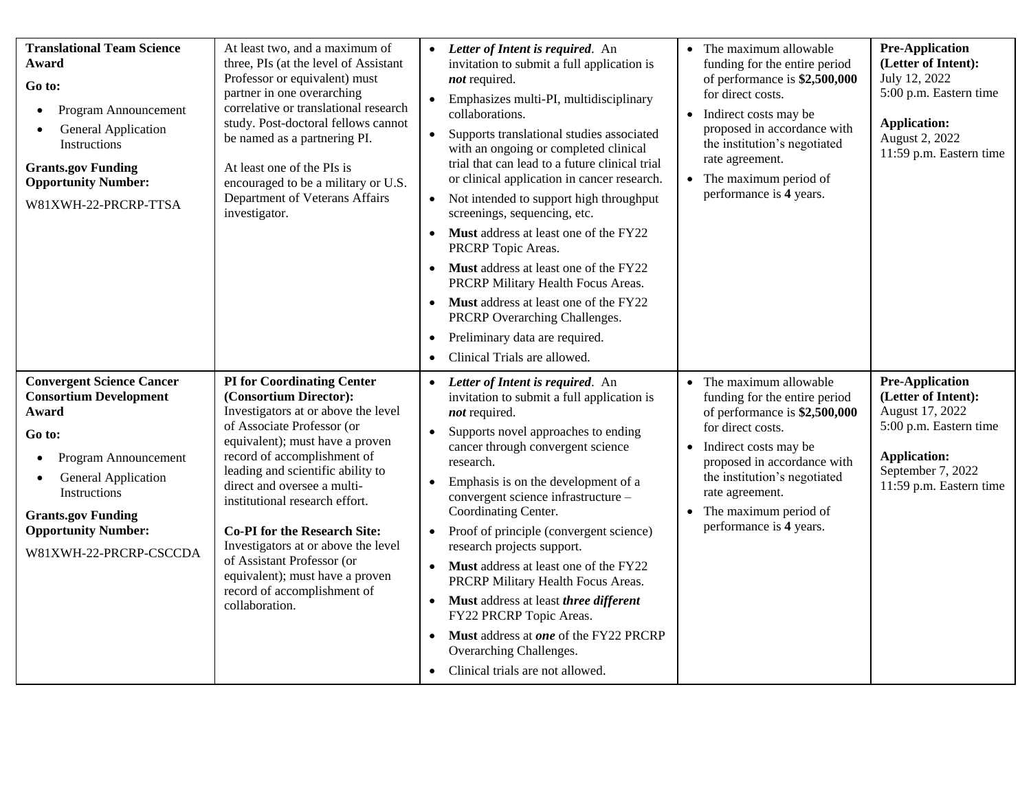| <b>Translational Team Science</b><br>Award<br>Go to:<br>Program Announcement<br>$\bullet$<br><b>General Application</b><br>$\bullet$<br><b>Instructions</b><br><b>Grants.gov Funding</b><br><b>Opportunity Number:</b><br>W81XWH-22-PRCRP-TTSA                            | At least two, and a maximum of<br>three, PIs (at the level of Assistant<br>Professor or equivalent) must<br>partner in one overarching<br>correlative or translational research<br>study. Post-doctoral fellows cannot<br>be named as a partnering PI.<br>At least one of the PIs is<br>encouraged to be a military or U.S.<br>Department of Veterans Affairs<br>investigator.                                                                                                                           | $\bullet$<br>$\bullet$ | • Letter of Intent is required. An<br>invitation to submit a full application is<br>not required.<br>• Emphasizes multi-PI, multidisciplinary<br>collaborations.<br>Supports translational studies associated<br>with an ongoing or completed clinical<br>trial that can lead to a future clinical trial<br>or clinical application in cancer research.<br>• Not intended to support high throughput<br>screenings, sequencing, etc.<br>• Must address at least one of the FY22<br>PRCRP Topic Areas.<br>• Must address at least one of the FY22<br>PRCRP Military Health Focus Areas.<br>• Must address at least one of the FY22<br>PRCRP Overarching Challenges.<br>• Preliminary data are required.<br>Clinical Trials are allowed. | • The maximum allowable<br>funding for the entire period<br>of performance is \$2,500,000<br>for direct costs.<br>• Indirect costs may be<br>proposed in accordance with<br>the institution's negotiated<br>rate agreement.<br>• The maximum period of<br>performance is 4 years.         | <b>Pre-Application</b><br>(Letter of Intent):<br>July 12, 2022<br>5:00 p.m. Eastern time<br><b>Application:</b><br>August 2, 2022<br>11:59 p.m. Eastern time      |
|---------------------------------------------------------------------------------------------------------------------------------------------------------------------------------------------------------------------------------------------------------------------------|----------------------------------------------------------------------------------------------------------------------------------------------------------------------------------------------------------------------------------------------------------------------------------------------------------------------------------------------------------------------------------------------------------------------------------------------------------------------------------------------------------|------------------------|----------------------------------------------------------------------------------------------------------------------------------------------------------------------------------------------------------------------------------------------------------------------------------------------------------------------------------------------------------------------------------------------------------------------------------------------------------------------------------------------------------------------------------------------------------------------------------------------------------------------------------------------------------------------------------------------------------------------------------------|-------------------------------------------------------------------------------------------------------------------------------------------------------------------------------------------------------------------------------------------------------------------------------------------|-------------------------------------------------------------------------------------------------------------------------------------------------------------------|
| <b>Convergent Science Cancer</b><br><b>Consortium Development</b><br>Award<br>Go to:<br>Program Announcement<br>$\bullet$<br><b>General Application</b><br>$\bullet$<br>Instructions<br><b>Grants.gov Funding</b><br><b>Opportunity Number:</b><br>W81XWH-22-PRCRP-CSCCDA | <b>PI</b> for Coordinating Center<br>(Consortium Director):<br>Investigators at or above the level<br>of Associate Professor (or<br>equivalent); must have a proven<br>record of accomplishment of<br>leading and scientific ability to<br>direct and oversee a multi-<br>institutional research effort.<br><b>Co-PI</b> for the Research Site:<br>Investigators at or above the level<br>of Assistant Professor (or<br>equivalent); must have a proven<br>record of accomplishment of<br>collaboration. | $\bullet$<br>$\bullet$ | • Letter of Intent is required. An<br>invitation to submit a full application is<br>not required.<br>Supports novel approaches to ending<br>cancer through convergent science<br>research.<br>Emphasis is on the development of a<br>convergent science infrastructure -<br>Coordinating Center.<br>• Proof of principle (convergent science)<br>research projects support.<br>• Must address at least one of the FY22<br>PRCRP Military Health Focus Areas.<br>• Must address at least three different<br>FY22 PRCRP Topic Areas.<br>• Must address at one of the FY22 PRCRP<br>Overarching Challenges.<br>Clinical trials are not allowed.                                                                                           | • The maximum allowable<br>funding for the entire period<br>of performance is \$2,500,000<br>for direct costs.<br>• Indirect costs may be<br>proposed in accordance with<br>the institution's negotiated<br>rate agreement.<br>$\bullet$ The maximum period of<br>performance is 4 years. | <b>Pre-Application</b><br>(Letter of Intent):<br>August 17, 2022<br>5:00 p.m. Eastern time<br><b>Application:</b><br>September 7, 2022<br>11:59 p.m. Eastern time |